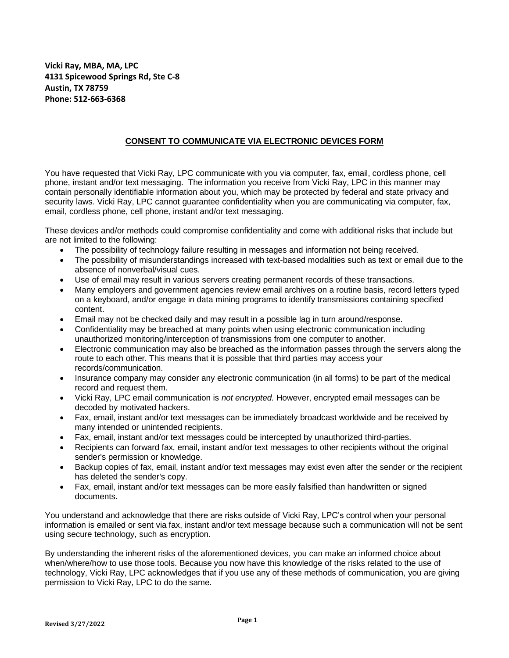**Vicki Ray, MBA, MA, LPC 4131 Spicewood Springs Rd, Ste C-8 Austin, TX 78759 Phone: 512-663-6368**

## **CONSENT TO COMMUNICATE VIA ELECTRONIC DEVICES FORM**

You have requested that Vicki Ray, LPC communicate with you via computer, fax, email, cordless phone, cell phone, instant and/or text messaging. The information you receive from Vicki Ray, LPC in this manner may contain personally identifiable information about you, which may be protected by federal and state privacy and security laws. Vicki Ray, LPC cannot guarantee confidentiality when you are communicating via computer, fax, email, cordless phone, cell phone, instant and/or text messaging.

These devices and/or methods could compromise confidentiality and come with additional risks that include but are not limited to the following:

- The possibility of technology failure resulting in messages and information not being received.
- The possibility of misunderstandings increased with text-based modalities such as text or email due to the absence of nonverbal/visual cues.
- Use of email may result in various servers creating permanent records of these transactions.
- Many employers and government agencies review email archives on a routine basis, record letters typed on a keyboard, and/or engage in data mining programs to identify transmissions containing specified content.
- Email may not be checked daily and may result in a possible lag in turn around/response.
- Confidentiality may be breached at many points when using electronic communication including unauthorized monitoring/interception of transmissions from one computer to another.
- Electronic communication may also be breached as the information passes through the servers along the route to each other. This means that it is possible that third parties may access your records/communication.
- Insurance company may consider any electronic communication (in all forms) to be part of the medical record and request them.
- Vicki Ray, LPC email communication is *not encrypted.* However, encrypted email messages can be decoded by motivated hackers.
- Fax, email, instant and/or text messages can be immediately broadcast worldwide and be received by many intended or unintended recipients.
- Fax, email, instant and/or text messages could be intercepted by unauthorized third-parties.
- Recipients can forward fax, email, instant and/or text messages to other recipients without the original sender's permission or knowledge.
- Backup copies of fax, email, instant and/or text messages may exist even after the sender or the recipient has deleted the sender's copy.
- Fax, email, instant and/or text messages can be more easily falsified than handwritten or signed documents.

You understand and acknowledge that there are risks outside of Vicki Ray, LPC's control when your personal information is emailed or sent via fax, instant and/or text message because such a communication will not be sent using secure technology, such as encryption.

By understanding the inherent risks of the aforementioned devices, you can make an informed choice about when/where/how to use those tools. Because you now have this knowledge of the risks related to the use of technology, Vicki Ray, LPC acknowledges that if you use any of these methods of communication, you are giving permission to Vicki Ray, LPC to do the same.